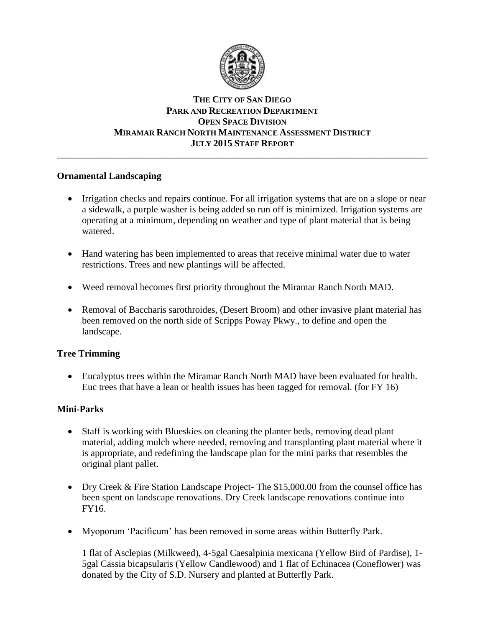

# **THE CITY OF SAN DIEGO PARK AND RECREATION DEPARTMENT OPEN SPACE DIVISION MIRAMAR RANCH NORTH MAINTENANCE ASSESSMENT DISTRICT JULY 2015 STAFF REPORT**

\_\_\_\_\_\_\_\_\_\_\_\_\_\_\_\_\_\_\_\_\_\_\_\_\_\_\_\_\_\_\_\_\_\_\_\_\_\_\_\_\_\_\_\_\_\_\_\_\_\_\_\_\_\_\_\_\_\_\_\_\_\_\_\_\_\_\_\_\_\_\_\_\_\_\_\_\_\_

# **Ornamental Landscaping**

- Irrigation checks and repairs continue. For all irrigation systems that are on a slope or near a sidewalk, a purple washer is being added so run off is minimized. Irrigation systems are operating at a minimum, depending on weather and type of plant material that is being watered.
- Hand watering has been implemented to areas that receive minimal water due to water restrictions. Trees and new plantings will be affected.
- Weed removal becomes first priority throughout the Miramar Ranch North MAD.
- Removal of Baccharis sarothroides, (Desert Broom) and other invasive plant material has been removed on the north side of Scripps Poway Pkwy., to define and open the landscape.

# **Tree Trimming**

 Eucalyptus trees within the Miramar Ranch North MAD have been evaluated for health. Euc trees that have a lean or health issues has been tagged for removal. (for FY 16)

# **Mini-Parks**

- Staff is working with Blueskies on cleaning the planter beds, removing dead plant material, adding mulch where needed, removing and transplanting plant material where it is appropriate, and redefining the landscape plan for the mini parks that resembles the original plant pallet.
- Dry Creek & Fire Station Landscape Project- The \$15,000.00 from the counsel office has been spent on landscape renovations. Dry Creek landscape renovations continue into FY16.
- Myoporum 'Pacificum' has been removed in some areas within Butterfly Park.

1 flat of Asclepias (Milkweed), 4-5gal Caesalpinia mexicana (Yellow Bird of Pardise), 1- 5gal Cassia bicapsularis (Yellow Candlewood) and 1 flat of Echinacea (Coneflower) was donated by the City of S.D. Nursery and planted at Butterfly Park.